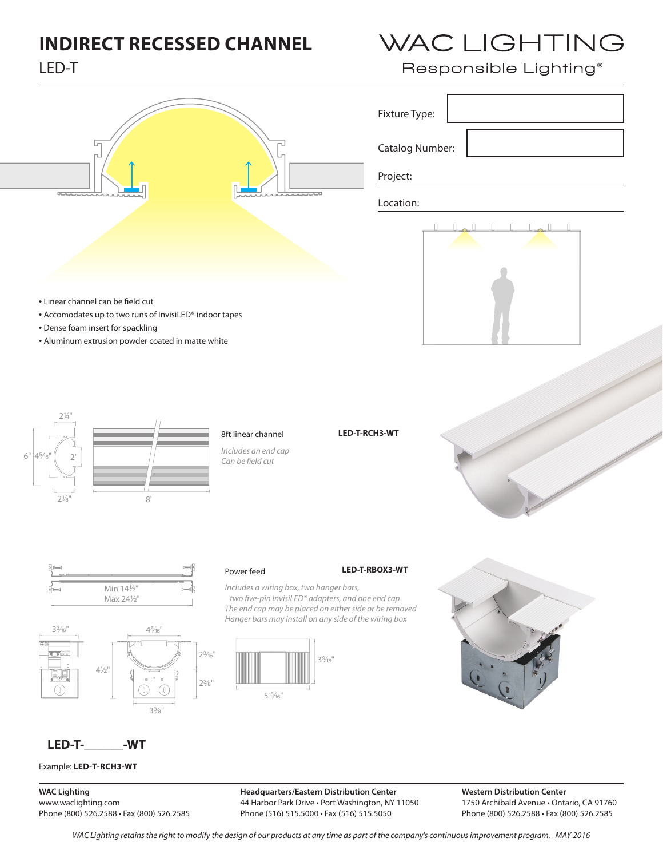# **INDIRECT RECESSED CHANNEL**

# LED-T







## Power feed **LED-T-RBOX3-WT**

### *Includes a wiring box, two hanger bars, two fi ve-pin InvisiLED® adapters, and one end cap The end cap may be placed on either side or be removed*

*Hanger bars may install on any side of the wiring box*





WAC LIGHTING

## **LED-T-\_\_\_\_\_\_-WT**

Example: **LED-T-RCH3-WT**

**WAC Lighting** www.waclighting.com Phone (800) 526.2588 • Fax (800) 526.2585

**Headquarters/Eastern Distribution Center** 44 Harbor Park Drive • Port Washington, NY 11050 Phone (516) 515.5000 • Fax (516) 515.5050

**Western Distribution Center**  1750 Archibald Avenue • Ontario, CA 91760 Phone (800) 526.2588 • Fax (800) 526.2585

*WAC Lighting retains the right to modify the design of our products at any time as part of the company's continuous improvement program. MAy 2016*